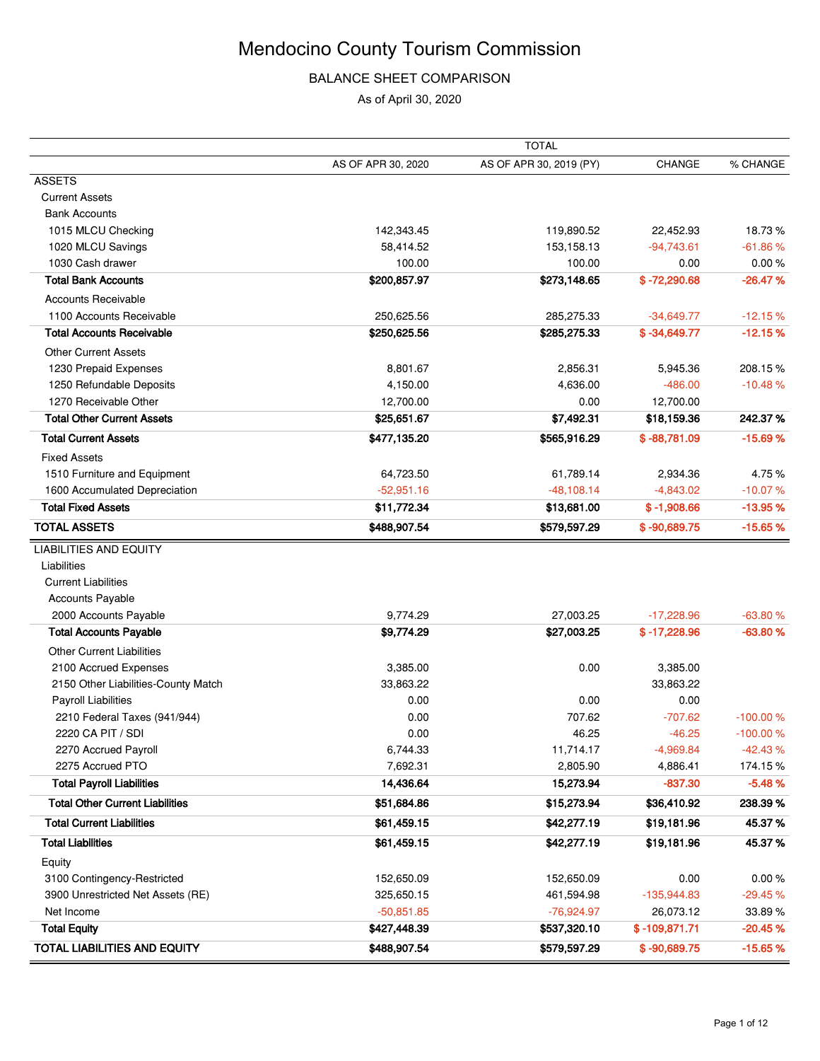## BALANCE SHEET COMPARISON

As of April 30, 2020

|                                        |                    | <b>TOTAL</b>            |                 |            |
|----------------------------------------|--------------------|-------------------------|-----------------|------------|
|                                        | AS OF APR 30, 2020 | AS OF APR 30, 2019 (PY) | CHANGE          | % CHANGE   |
| <b>ASSETS</b>                          |                    |                         |                 |            |
| <b>Current Assets</b>                  |                    |                         |                 |            |
| <b>Bank Accounts</b>                   |                    |                         |                 |            |
| 1015 MLCU Checking                     | 142,343.45         | 119,890.52              | 22,452.93       | 18.73%     |
| 1020 MLCU Savings                      | 58,414.52          | 153,158.13              | $-94,743.61$    | $-61.86%$  |
| 1030 Cash drawer                       | 100.00             | 100.00                  | 0.00            | 0.00%      |
| <b>Total Bank Accounts</b>             | \$200,857.97       | \$273,148.65            | $$ -72,290.68$  | $-26.47%$  |
| <b>Accounts Receivable</b>             |                    |                         |                 |            |
| 1100 Accounts Receivable               | 250,625.56         | 285,275.33              | $-34,649.77$    | $-12.15%$  |
| <b>Total Accounts Receivable</b>       | \$250,625.56       | \$285,275.33            | $$ -34,649.77$  | $-12.15%$  |
| <b>Other Current Assets</b>            |                    |                         |                 |            |
| 1230 Prepaid Expenses                  | 8,801.67           | 2,856.31                | 5,945.36        | 208.15%    |
| 1250 Refundable Deposits               | 4,150.00           | 4,636.00                | $-486.00$       | $-10.48%$  |
| 1270 Receivable Other                  | 12,700.00          | 0.00                    | 12,700.00       |            |
| <b>Total Other Current Assets</b>      | \$25,651.67        | \$7,492.31              | \$18,159.36     | 242.37%    |
| <b>Total Current Assets</b>            | \$477,135.20       | \$565,916.29            | $$ -88,781.09$  | $-15.69%$  |
| <b>Fixed Assets</b>                    |                    |                         |                 |            |
| 1510 Furniture and Equipment           | 64,723.50          | 61,789.14               | 2,934.36        | 4.75%      |
| 1600 Accumulated Depreciation          | $-52,951.16$       | $-48,108.14$            | $-4,843.02$     | $-10.07%$  |
| <b>Total Fixed Assets</b>              | \$11,772.34        | \$13,681.00             | $$ -1,908.66$   | $-13.95%$  |
| <b>TOTAL ASSETS</b>                    | \$488,907.54       | \$579,597.29            | $$ -90,689.75$  | $-15.65%$  |
| <b>LIABILITIES AND EQUITY</b>          |                    |                         |                 |            |
| Liabilities                            |                    |                         |                 |            |
| <b>Current Liabilities</b>             |                    |                         |                 |            |
| Accounts Payable                       |                    |                         |                 |            |
| 2000 Accounts Payable                  | 9,774.29           | 27,003.25               | $-17,228.96$    | $-63.80%$  |
| <b>Total Accounts Payable</b>          | \$9,774.29         | \$27,003.25             | $$ -17,228.96$  | $-63.80%$  |
| <b>Other Current Liabilities</b>       |                    |                         |                 |            |
| 2100 Accrued Expenses                  | 3,385.00           | 0.00                    | 3,385.00        |            |
| 2150 Other Liabilities-County Match    | 33,863.22          |                         | 33,863.22       |            |
| <b>Payroll Liabilities</b>             | 0.00               | 0.00                    | 0.00            |            |
| 2210 Federal Taxes (941/944)           | 0.00               | 707.62                  | $-707.62$       | $-100.00%$ |
| 2220 CA PIT / SDI                      | 0.00               | 46.25                   | $-46.25$        | $-100.00%$ |
| 2270 Accrued Payroll                   | 6,744.33           | 11,714.17               | $-4,969.84$     | $-42.43%$  |
| 2275 Accrued PTO                       | 7,692.31           | 2,805.90                | 4,886.41        | 174.15%    |
| <b>Total Payroll Liabilities</b>       | 14,436.64          | 15,273.94               | $-837.30$       | $-5.48%$   |
| <b>Total Other Current Liabilities</b> | \$51,684.86        | \$15,273.94             | \$36,410.92     | 238.39 %   |
| <b>Total Current Liabilities</b>       | \$61,459.15        | \$42,277.19             | \$19,181.96     | 45.37%     |
| <b>Total Liabilities</b>               | \$61,459.15        | \$42,277.19             | \$19,181.96     | 45.37%     |
| Equity                                 |                    |                         |                 |            |
| 3100 Contingency-Restricted            | 152,650.09         | 152,650.09              | 0.00            | 0.00%      |
| 3900 Unrestricted Net Assets (RE)      | 325,650.15         | 461,594.98              | $-135,944.83$   | $-29.45%$  |
| Net Income                             | $-50,851.85$       | $-76,924.97$            | 26,073.12       | 33.89 %    |
| <b>Total Equity</b>                    | \$427,448.39       | \$537,320.10            | $$ -109,871.71$ | $-20.45%$  |
| <b>TOTAL LIABILITIES AND EQUITY</b>    | \$488,907.54       | \$579,597.29            | $$ -90,689.75$  | $-15.65%$  |
|                                        |                    |                         |                 |            |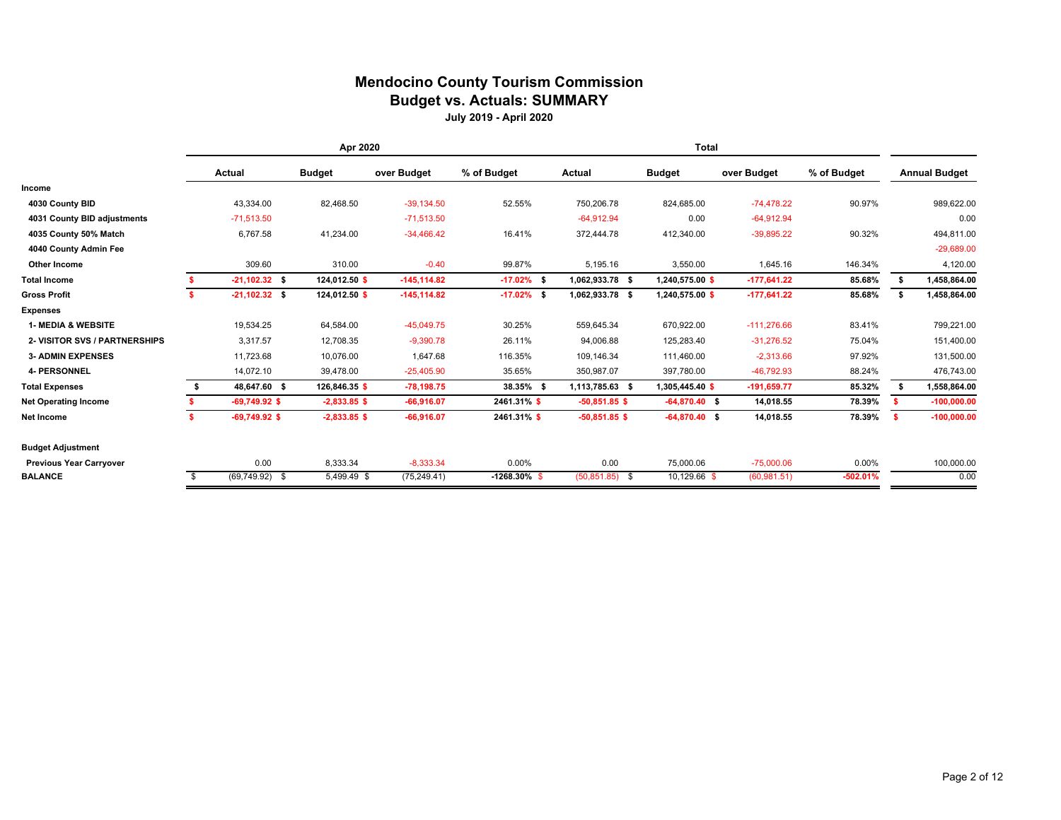#### **Mendocino County Tourism Commission Budget vs. Actuals: SUMMARY July 2019 - April 2020**

|                                | Apr 2020 |                   |  |                | <b>Total</b>   |                 |                  |  |                 |               |             |      |                      |
|--------------------------------|----------|-------------------|--|----------------|----------------|-----------------|------------------|--|-----------------|---------------|-------------|------|----------------------|
|                                |          | Actual            |  | <b>Budget</b>  | over Budget    | % of Budget     | Actual           |  | <b>Budget</b>   | over Budget   | % of Budget |      | <b>Annual Budget</b> |
| Income                         |          |                   |  |                |                |                 |                  |  |                 |               |             |      |                      |
| 4030 County BID                |          | 43,334.00         |  | 82,468.50      | $-39,134.50$   | 52.55%          | 750,206.78       |  | 824,685.00      | $-74,478.22$  | 90.97%      |      | 989,622.00           |
| 4031 County BID adjustments    |          | $-71,513.50$      |  |                | $-71,513.50$   |                 | $-64,912.94$     |  | 0.00            | $-64,912.94$  |             |      | 0.00                 |
| 4035 County 50% Match          |          | 6,767.58          |  | 41,234.00      | $-34,466.42$   | 16.41%          | 372,444.78       |  | 412,340.00      | $-39,895.22$  | 90.32%      |      | 494,811.00           |
| 4040 County Admin Fee          |          |                   |  |                |                |                 |                  |  |                 |               |             |      | $-29,689.00$         |
| Other Income                   |          | 309.60            |  | 310.00         | $-0.40$        | 99.87%          | 5,195.16         |  | 3,550.00        | 1,645.16      | 146.34%     |      | 4,120.00             |
| <b>Total Income</b>            |          | $-21,102.32$ \$   |  | 124,012.50 \$  | $-145, 114.82$ | $-17.02\%$ \$   | 1,062,933.78 \$  |  | 1,240,575.00 \$ | $-177,641.22$ | 85.68%      |      | 1,458,864.00         |
| <b>Gross Profit</b>            |          | $-21,102.32$ \$   |  | 124,012.50 \$  | $-145, 114.82$ | $-17.02\%$ \$   | 1,062,933.78 \$  |  | 1,240,575.00 \$ | $-177,641.22$ | 85.68%      | - \$ | 1,458,864.00         |
| <b>Expenses</b>                |          |                   |  |                |                |                 |                  |  |                 |               |             |      |                      |
| <b>1- MEDIA &amp; WEBSITE</b>  |          | 19,534.25         |  | 64,584.00      | $-45,049.75$   | 30.25%          | 559,645.34       |  | 670,922.00      | $-111,276.66$ | 83.41%      |      | 799,221.00           |
| 2- VISITOR SVS / PARTNERSHIPS  |          | 3.317.57          |  | 12,708.35      | $-9,390.78$    | 26.11%          | 94,006.88        |  | 125,283.40      | $-31.276.52$  | 75.04%      |      | 151,400.00           |
| <b>3- ADMIN EXPENSES</b>       |          | 11,723.68         |  | 10,076.00      | 1.647.68       | 116.35%         | 109,146.34       |  | 111,460.00      | $-2,313.66$   | 97.92%      |      | 131,500.00           |
| <b>4- PERSONNEL</b>            |          | 14,072.10         |  | 39,478.00      | $-25,405.90$   | 35.65%          | 350,987.07       |  | 397,780.00      | $-46,792.93$  | 88.24%      |      | 476,743.00           |
| <b>Total Expenses</b>          | s.       | 48,647.60 \$      |  | 126,846.35 \$  | $-78,198.75$   | 38.35% \$       | 1,113,785.63 \$  |  | 1,305,445.40 \$ | $-191,659.77$ | 85.32%      | s.   | 1,558,864.00         |
| <b>Net Operating Income</b>    |          | $-69,749.92$ \$   |  | $-2,833.85$ \$ | $-66,916.07$   | 2461.31%\$      | $-50,851.85$ \$  |  | $-64,870.40$ \$ | 14,018.55     | 78.39%      | -S   | $-100,000.00$        |
| Net Income                     |          | $-69,749.92$ \$   |  | $-2,833.85$ \$ | $-66,916.07$   | 2461.31% \$     | $-50,851.85$ \$  |  | $-64,870.40$ \$ | 14,018.55     | 78.39%      | s.   | $-100,000.00$        |
| <b>Budget Adjustment</b>       |          |                   |  |                |                |                 |                  |  |                 |               |             |      |                      |
| <b>Previous Year Carryover</b> |          | 0.00              |  | 8,333.34       | $-8,333.34$    | 0.00%           | 0.00             |  | 75,000.06       | $-75,000.06$  | $0.00\%$    |      | 100,000.00           |
| <b>BALANCE</b>                 |          | $(69, 749.92)$ \$ |  | 5,499.49 \$    | (75, 249.41)   | $-1268.30\%$ \$ | $(50,851.85)$ \$ |  | 10,129.66 \$    | (60, 981.51)  | $-502.01%$  |      | 0.00                 |
|                                |          |                   |  |                |                |                 |                  |  |                 |               |             |      |                      |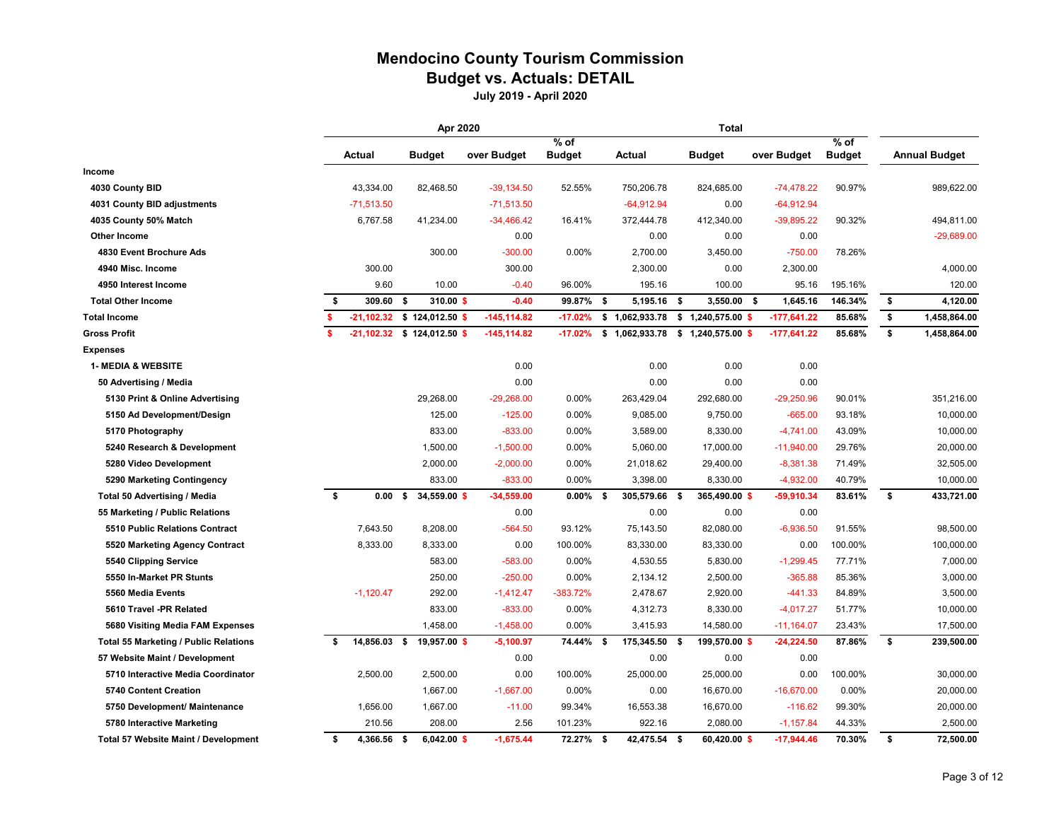#### **Mendocino County Tourism Commission Budget vs. Actuals: DETAIL**

|                                              | Apr 2020     |                   |                               |                |               | <b>Total</b>   |                                    |               |               |    |                      |
|----------------------------------------------|--------------|-------------------|-------------------------------|----------------|---------------|----------------|------------------------------------|---------------|---------------|----|----------------------|
|                                              |              |                   |                               |                | $%$ of        |                |                                    |               | $%$ of        |    |                      |
|                                              |              | Actual            | <b>Budget</b>                 | over Budget    | <b>Budget</b> | Actual         | <b>Budget</b>                      | over Budget   | <b>Budget</b> |    | <b>Annual Budget</b> |
| Income                                       |              |                   |                               |                |               |                |                                    |               |               |    |                      |
| 4030 County BID                              |              | 43,334.00         | 82,468.50                     | $-39,134.50$   | 52.55%        | 750,206.78     | 824,685.00                         | $-74,478.22$  | 90.97%        |    | 989,622.00           |
| 4031 County BID adjustments                  |              | $-71,513.50$      |                               | $-71,513.50$   |               | $-64,912.94$   | 0.00                               | $-64,912.94$  |               |    |                      |
| 4035 County 50% Match                        |              | 6,767.58          | 41,234.00                     | $-34,466.42$   | 16.41%        | 372,444.78     | 412,340.00                         | $-39,895.22$  | 90.32%        |    | 494,811.00           |
| <b>Other Income</b>                          |              |                   |                               | 0.00           |               | 0.00           | 0.00                               | 0.00          |               |    | $-29,689.00$         |
| 4830 Event Brochure Ads                      |              |                   | 300.00                        | $-300.00$      | 0.00%         | 2,700.00       | 3,450.00                           | $-750.00$     | 78.26%        |    |                      |
| 4940 Misc. Income                            |              | 300.00            |                               | 300.00         |               | 2,300.00       | 0.00                               | 2,300.00      |               |    | 4,000.00             |
| 4950 Interest Income                         |              | 9.60              | 10.00                         | $-0.40$        | 96.00%        | 195.16         | 100.00                             | 95.16         | 195.16%       |    | 120.00               |
| <b>Total Other Income</b>                    | \$           | 309.60 \$         | 310.00 \$                     | $-0.40$        | 99.87% \$     | 5,195.16 \$    | $3,550.00$ \$                      | 1,645.16      | 146.34%       | \$ | 4,120.00             |
| <b>Total Income</b>                          | s.           |                   | $-21,102.32$ \$ 124,012.50 \$ | $-145, 114.82$ | $-17.02%$     | \$1,062,933.78 | $$1,240,575.00$ \$                 | $-177,641.22$ | 85.68%        | \$ | 1,458,864.00         |
| <b>Gross Profit</b>                          | $\mathbf{s}$ | $-21,102.32$      | \$124,012.50 \$               | $-145, 114.82$ | $-17.02%$     |                | $$1,062,933.78$ $$1,240,575.00$ \$ | $-177,641.22$ | 85.68%        | \$ | 1,458,864.00         |
| <b>Expenses</b>                              |              |                   |                               |                |               |                |                                    |               |               |    |                      |
| <b>1- MEDIA &amp; WEBSITE</b>                |              |                   |                               | 0.00           |               | 0.00           | 0.00                               | 0.00          |               |    |                      |
| 50 Advertising / Media                       |              |                   |                               | 0.00           |               | 0.00           | 0.00                               | 0.00          |               |    |                      |
| 5130 Print & Online Advertising              |              |                   | 29,268.00                     | $-29,268.00$   | 0.00%         | 263,429.04     | 292,680.00                         | $-29,250.96$  | 90.01%        |    | 351,216.00           |
| 5150 Ad Development/Design                   |              |                   | 125.00                        | $-125.00$      | 0.00%         | 9,085.00       | 9,750.00                           | $-665.00$     | 93.18%        |    | 10,000.00            |
| 5170 Photography                             |              |                   | 833.00                        | $-833.00$      | 0.00%         | 3,589.00       | 8,330.00                           | $-4,741.00$   | 43.09%        |    | 10,000.00            |
| 5240 Research & Development                  |              |                   | 1,500.00                      | $-1,500.00$    | 0.00%         | 5,060.00       | 17,000.00                          | $-11,940.00$  | 29.76%        |    | 20,000.00            |
| 5280 Video Development                       |              |                   | 2,000.00                      | $-2,000.00$    | 0.00%         | 21,018.62      | 29,400.00                          | $-8,381.38$   | 71.49%        |    | 32,505.00            |
| 5290 Marketing Contingency                   |              |                   | 833.00                        | $-833.00$      | 0.00%         | 3,398.00       | 8,330.00                           | $-4,932.00$   | 40.79%        |    | 10,000.00            |
| Total 50 Advertising / Media                 | \$           | 0.00 <sup>5</sup> | 34,559.00 \$                  | $-34,559.00$   | $0.00\%$ \$   | 305,579.66 \$  | 365,490.00 \$                      | $-59,910.34$  | 83.61%        | \$ | 433,721.00           |
| 55 Marketing / Public Relations              |              |                   |                               | 0.00           |               | 0.00           | 0.00                               | 0.00          |               |    |                      |
| 5510 Public Relations Contract               |              | 7,643.50          | 8,208.00                      | $-564.50$      | 93.12%        | 75,143.50      | 82,080.00                          | $-6,936.50$   | 91.55%        |    | 98,500.00            |
| 5520 Marketing Agency Contract               |              | 8,333.00          | 8,333.00                      | 0.00           | 100.00%       | 83,330.00      | 83,330.00                          | 0.00          | 100.00%       |    | 100,000.00           |
| 5540 Clipping Service                        |              |                   | 583.00                        | $-583.00$      | 0.00%         | 4,530.55       | 5,830.00                           | $-1,299.45$   | 77.71%        |    | 7,000.00             |
| 5550 In-Market PR Stunts                     |              |                   | 250.00                        | $-250.00$      | 0.00%         | 2,134.12       | 2,500.00                           | $-365.88$     | 85.36%        |    | 3,000.00             |
| 5560 Media Events                            |              | $-1,120.47$       | 292.00                        | $-1,412.47$    | $-383.72%$    | 2,478.67       | 2,920.00                           | $-441.33$     | 84.89%        |    | 3,500.00             |
| 5610 Travel -PR Related                      |              |                   | 833.00                        | $-833.00$      | 0.00%         | 4,312.73       | 8,330.00                           | $-4,017.27$   | 51.77%        |    | 10,000.00            |
| 5680 Visiting Media FAM Expenses             |              |                   | 1,458.00                      | $-1,458.00$    | 0.00%         | 3,415.93       | 14,580.00                          | $-11,164.07$  | 23.43%        |    | 17,500.00            |
| <b>Total 55 Marketing / Public Relations</b> | Ŝ.           | 14,856.03 \$      | 19,957.00 \$                  | $-5,100.97$    | 74.44% \$     | 175,345.50     | 199,570.00 \$<br>- \$              | $-24,224.50$  | 87.86%        | \$ | 239,500.00           |
| 57 Website Maint / Development               |              |                   |                               | 0.00           |               | 0.00           | 0.00                               | 0.00          |               |    |                      |
| 5710 Interactive Media Coordinator           |              | 2,500.00          | 2,500.00                      | 0.00           | 100.00%       | 25,000.00      | 25,000.00                          | 0.00          | 100.00%       |    | 30,000.00            |
| 5740 Content Creation                        |              |                   | 1,667.00                      | $-1,667.00$    | 0.00%         | 0.00           | 16,670.00                          | $-16,670.00$  | 0.00%         |    | 20,000.00            |
| 5750 Development/ Maintenance                |              | 1,656.00          | 1,667.00                      | $-11.00$       | 99.34%        | 16,553.38      | 16,670.00                          | $-116.62$     | 99.30%        |    | 20,000.00            |
| 5780 Interactive Marketing                   |              | 210.56            | 208.00                        | 2.56           | 101.23%       | 922.16         | 2,080.00                           | $-1,157.84$   | 44.33%        |    | 2,500.00             |
| <b>Total 57 Website Maint / Development</b>  | \$           | 4,366.56 \$       | $6,042.00$ \$                 | $-1,675.44$    | 72.27% \$     | 42,475.54 \$   | 60,420.00 \$                       | $-17,944.46$  | 70.30%        | \$ | 72,500.00            |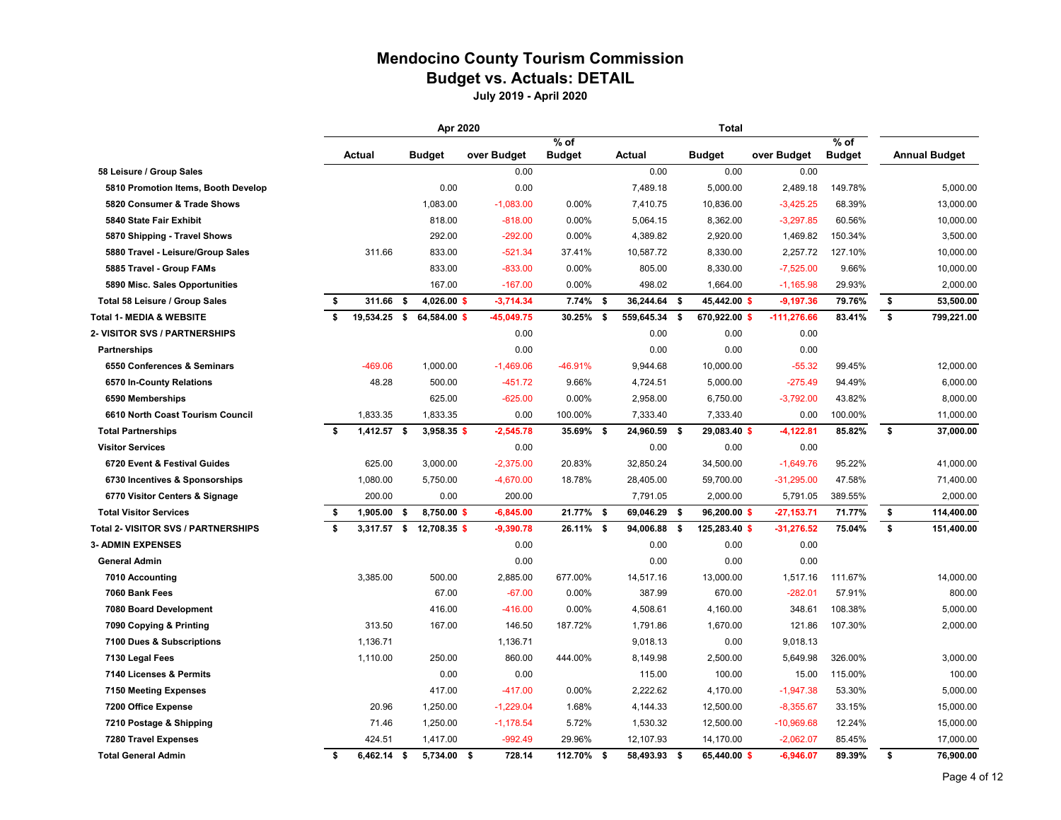### **Mendocino County Tourism Commission Budget vs. Actuals: DETAIL**

|                                            |    |               |     | Apr 2020                 |              |               |     |               |               | <b>Total</b>  |               |               |                      |
|--------------------------------------------|----|---------------|-----|--------------------------|--------------|---------------|-----|---------------|---------------|---------------|---------------|---------------|----------------------|
|                                            |    |               |     |                          |              | $%$ of        |     |               |               |               |               | $%$ of        |                      |
|                                            |    | Actual        |     | <b>Budget</b>            | over Budget  | <b>Budget</b> |     | Actual        | <b>Budget</b> |               | over Budget   | <b>Budget</b> | <b>Annual Budget</b> |
| 58 Leisure / Group Sales                   |    |               |     |                          | 0.00         |               |     | 0.00          |               | 0.00          | 0.00          |               |                      |
| 5810 Promotion Items, Booth Develop        |    |               |     | 0.00                     | 0.00         |               |     | 7,489.18      |               | 5,000.00      | 2,489.18      | 149.78%       | 5,000.00             |
| 5820 Consumer & Trade Shows                |    |               |     | 1,083.00                 | $-1,083.00$  | 0.00%         |     | 7,410.75      |               | 10,836.00     | $-3,425.25$   | 68.39%        | 13,000.00            |
| 5840 State Fair Exhibit                    |    |               |     | 818.00                   | $-818.00$    | 0.00%         |     | 5,064.15      |               | 8,362.00      | $-3,297.85$   | 60.56%        | 10,000.00            |
| 5870 Shipping - Travel Shows               |    |               |     | 292.00                   | $-292.00$    | 0.00%         |     | 4,389.82      |               | 2,920.00      | 1,469.82      | 150.34%       | 3,500.00             |
| 5880 Travel - Leisure/Group Sales          |    | 311.66        |     | 833.00                   | $-521.34$    | 37.41%        |     | 10,587.72     |               | 8,330.00      | 2,257.72      | 127.10%       | 10,000.00            |
| 5885 Travel - Group FAMs                   |    |               |     | 833.00                   | $-833.00$    | 0.00%         |     | 805.00        |               | 8,330.00      | $-7,525.00$   | 9.66%         | 10,000.00            |
| 5890 Misc. Sales Opportunities             |    |               |     | 167.00                   | $-167.00$    | 0.00%         |     | 498.02        |               | 1,664.00      | $-1,165.98$   | 29.93%        | 2,000.00             |
| Total 58 Leisure / Group Sales             | \$ | 311.66        | \$  | 4,026.00 \$              | $-3,714.34$  | 7.74%         | -\$ | 36,244.64 \$  |               | 45,442.00 \$  | $-9,197.36$   | 79.76%        | \$<br>53,500.00      |
| <b>Total 1- MEDIA &amp; WEBSITE</b>        | \$ | 19,534.25     | \$  | 64,584.00 \$             | $-45,049.75$ | $30.25\%$ \$  |     | 559,645.34 \$ |               | 670,922.00 \$ | $-111,276.66$ | 83.41%        | \$<br>799,221.00     |
| 2- VISITOR SVS / PARTNERSHIPS              |    |               |     |                          | 0.00         |               |     | 0.00          |               | 0.00          | 0.00          |               |                      |
| Partnerships                               |    |               |     |                          | 0.00         |               |     | 0.00          |               | 0.00          | 0.00          |               |                      |
| 6550 Conferences & Seminars                |    | -469.06       |     | 1,000.00                 | $-1,469.06$  | $-46.91%$     |     | 9,944.68      |               | 10,000.00     | $-55.32$      | 99.45%        | 12,000.00            |
| 6570 In-County Relations                   |    | 48.28         |     | 500.00                   | $-451.72$    | 9.66%         |     | 4,724.51      |               | 5,000.00      | $-275.49$     | 94.49%        | 6,000.00             |
| 6590 Memberships                           |    |               |     | 625.00                   | $-625.00$    | 0.00%         |     | 2,958.00      |               | 6,750.00      | $-3,792.00$   | 43.82%        | 8,000.00             |
| 6610 North Coast Tourism Council           |    | 1,833.35      |     | 1,833.35                 | 0.00         | 100.00%       |     | 7,333.40      |               | 7,333.40      | 0.00          | 100.00%       | 11,000.00            |
| <b>Total Partnerships</b>                  | \$ | $1,412.57$ \$ |     | 3,958.35 \$              | $-2,545.78$  | 35.69% \$     |     | 24,960.59 \$  |               | 29,083.40 \$  | $-4,122.81$   | 85.82%        | \$<br>37,000.00      |
| <b>Visitor Services</b>                    |    |               |     |                          | 0.00         |               |     | 0.00          |               | 0.00          | 0.00          |               |                      |
| 6720 Event & Festival Guides               |    | 625.00        |     | 3,000.00                 | $-2,375.00$  | 20.83%        |     | 32,850.24     | 34,500.00     |               | $-1,649.76$   | 95.22%        | 41,000.00            |
| 6730 Incentives & Sponsorships             |    | 1,080.00      |     | 5,750.00                 | $-4,670.00$  | 18.78%        |     | 28,405.00     |               | 59,700.00     | $-31,295.00$  | 47.58%        | 71,400.00            |
| 6770 Visitor Centers & Signage             |    | 200.00        |     | 0.00                     | 200.00       |               |     | 7,791.05      |               | 2,000.00      | 5,791.05      | 389.55%       | 2,000.00             |
| <b>Total Visitor Services</b>              | \$ | 1,905.00      | -\$ | 8,750.00 \$              | $-6,845.00$  | 21.77% \$     |     | 69,046.29 \$  |               | 96,200.00 \$  | $-27,153.71$  | 71.77%        | \$<br>114,400.00     |
| <b>Total 2- VISITOR SVS / PARTNERSHIPS</b> | Ŝ. |               |     | 3,317.57 \$ 12,708.35 \$ | $-9,390.78$  | 26.11% \$     |     | 94,006.88 \$  |               | 125,283.40 \$ | $-31,276.52$  | 75.04%        | \$<br>151,400.00     |
| <b>3- ADMIN EXPENSES</b>                   |    |               |     |                          | 0.00         |               |     | 0.00          |               | 0.00          | 0.00          |               |                      |
| <b>General Admin</b>                       |    |               |     |                          | 0.00         |               |     | 0.00          |               | 0.00          | 0.00          |               |                      |
| 7010 Accounting                            |    | 3,385.00      |     | 500.00                   | 2,885.00     | 677.00%       |     | 14,517.16     |               | 13,000.00     | 1,517.16      | 111.67%       | 14,000.00            |
| 7060 Bank Fees                             |    |               |     | 67.00                    | $-67.00$     | 0.00%         |     | 387.99        |               | 670.00        | $-282.01$     | 57.91%        | 800.00               |
| 7080 Board Development                     |    |               |     | 416.00                   | $-416.00$    | 0.00%         |     | 4,508.61      |               | 4,160.00      | 348.61        | 108.38%       | 5,000.00             |
| 7090 Copying & Printing                    |    | 313.50        |     | 167.00                   | 146.50       | 187.72%       |     | 1,791.86      |               | 1,670.00      | 121.86        | 107.30%       | 2,000.00             |
| 7100 Dues & Subscriptions                  |    | 1,136.71      |     |                          | 1,136.71     |               |     | 9,018.13      |               | 0.00          | 9,018.13      |               |                      |
| 7130 Legal Fees                            |    | 1,110.00      |     | 250.00                   | 860.00       | 444.00%       |     | 8,149.98      |               | 2,500.00      | 5,649.98      | 326.00%       | 3,000.00             |
| 7140 Licenses & Permits                    |    |               |     | 0.00                     | 0.00         |               |     | 115.00        |               | 100.00        | 15.00         | 115.00%       | 100.00               |
| 7150 Meeting Expenses                      |    |               |     | 417.00                   | $-417.00$    | 0.00%         |     | 2,222.62      |               | 4,170.00      | $-1,947.38$   | 53.30%        | 5,000.00             |
| 7200 Office Expense                        |    | 20.96         |     | 1,250.00                 | $-1,229.04$  | 1.68%         |     | 4,144.33      |               | 12,500.00     | $-8,355.67$   | 33.15%        | 15,000.00            |
| 7210 Postage & Shipping                    |    | 71.46         |     | 1,250.00                 | $-1,178.54$  | 5.72%         |     | 1,530.32      |               | 12,500.00     | $-10,969.68$  | 12.24%        | 15,000.00            |
| 7280 Travel Expenses                       |    | 424.51        |     | 1,417.00                 | $-992.49$    | 29.96%        |     | 12,107.93     |               | 14,170.00     | $-2,062.07$   | 85.45%        | 17,000.00            |
| <b>Total General Admin</b>                 | \$ | $6,462.14$ \$ |     | 5,734.00 \$              | 728.14       | 112.70% \$    |     | 58,493.93 \$  |               | 65,440.00 \$  | $-6,946.07$   | 89.39%        | \$<br>76,900.00      |
|                                            |    |               |     |                          |              |               |     |               |               |               |               |               |                      |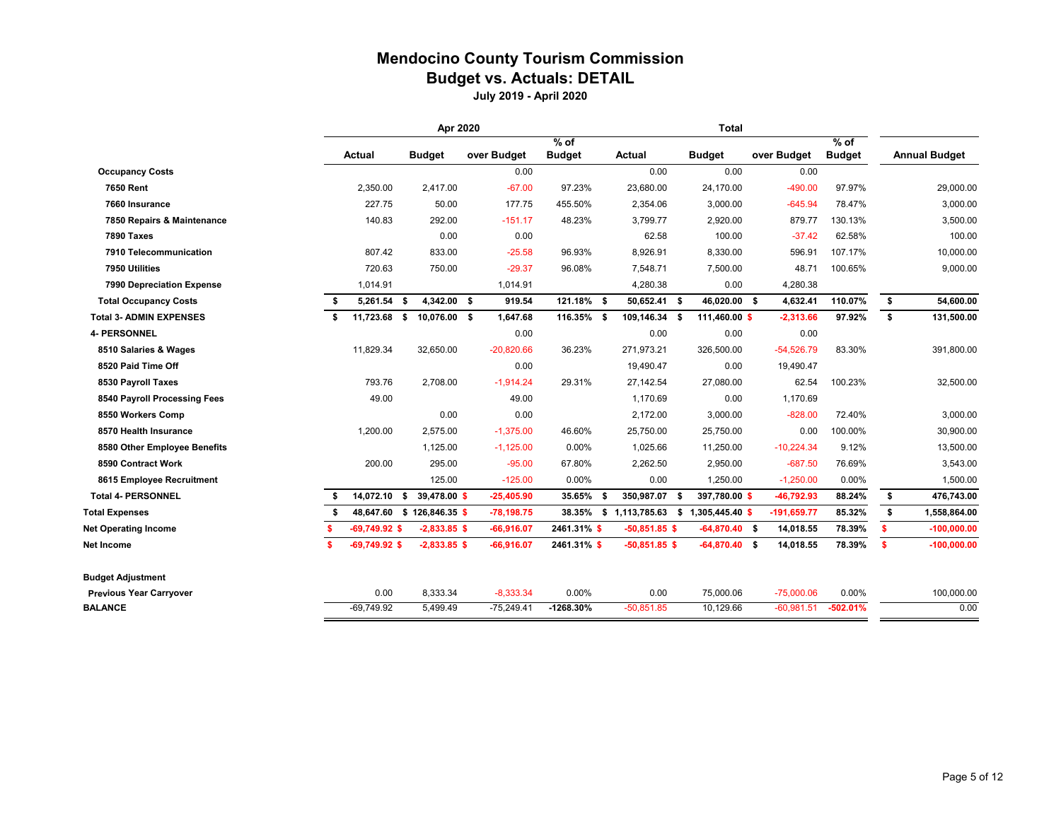### **Mendocino County Tourism Commission Budget vs. Actuals: DETAIL**

|                                            | Apr 2020 |                 |    |                            | <b>Total</b> |               |      |                                           |  |                 |                     |               |    |                      |
|--------------------------------------------|----------|-----------------|----|----------------------------|--------------|---------------|------|-------------------------------------------|--|-----------------|---------------------|---------------|----|----------------------|
|                                            | Actual   |                 |    |                            | over Budget  | $%$ of        |      | <b>Actual</b>                             |  | <b>Budget</b>   |                     | $%$ of        |    | <b>Annual Budget</b> |
|                                            |          |                 |    | <b>Budget</b>              | 0.00         | <b>Budget</b> |      | 0.00                                      |  | 0.00            | over Budget<br>0.00 | <b>Budget</b> |    |                      |
| <b>Occupancy Costs</b><br><b>7650 Rent</b> |          | 2,350.00        |    | 2,417.00                   | $-67.00$     | 97.23%        |      | 23,680.00                                 |  | 24,170.00       | $-490.00$           | 97.97%        |    | 29,000.00            |
|                                            |          |                 |    |                            |              |               |      |                                           |  |                 |                     |               |    |                      |
| 7660 Insurance                             |          | 227.75          |    | 50.00                      | 177.75       | 455.50%       |      | 2,354.06                                  |  | 3,000.00        | $-645.94$           | 78.47%        |    | 3,000.00             |
| 7850 Repairs & Maintenance                 |          | 140.83          |    | 292.00                     | $-151.17$    | 48.23%        |      | 3,799.77                                  |  | 2,920.00        | 879.77              | 130.13%       |    | 3,500.00             |
| 7890 Taxes                                 |          |                 |    | 0.00                       | 0.00         |               |      | 62.58                                     |  | 100.00          | $-37.42$            | 62.58%        |    | 100.00               |
| 7910 Telecommunication                     |          | 807.42          |    | 833.00                     | $-25.58$     | 96.93%        |      | 8,926.91                                  |  | 8,330.00        | 596.91              | 107.17%       |    | 10,000.00            |
| 7950 Utilities                             |          | 720.63          |    | 750.00                     | $-29.37$     | 96.08%        |      | 7,548.71                                  |  | 7,500.00        | 48.71               | 100.65%       |    | 9,000.00             |
| 7990 Depreciation Expense                  |          | 1,014.91        |    |                            | 1,014.91     |               |      | 4,280.38                                  |  | 0.00            | 4,280.38            |               |    |                      |
| <b>Total Occupancy Costs</b>               | S.       | 5,261.54        | \$ | 4,342.00 \$                | 919.54       | 121.18% \$    |      | 50,652.41 \$                              |  | 46.020.00 \$    | 4,632.41            | 110.07%       | \$ | 54,600.00            |
| <b>Total 3- ADMIN EXPENSES</b>             | \$       | 11,723.68 \$    |    | 10.076.00 \$               | 1,647.68     | 116.35% \$    |      | 109,146.34 \$                             |  | 111.460.00 \$   | $-2.313.66$         | 97.92%        | \$ | 131,500.00           |
| <b>4- PERSONNEL</b>                        |          |                 |    |                            | 0.00         |               |      | 0.00                                      |  | 0.00            | 0.00                |               |    |                      |
| 8510 Salaries & Wages                      |          | 11,829.34       |    | 32,650.00                  | $-20,820.66$ | 36.23%        |      | 271,973.21                                |  | 326,500.00      | $-54,526.79$        | 83.30%        |    | 391,800.00           |
| 8520 Paid Time Off                         |          |                 |    |                            | 0.00         |               |      | 19,490.47                                 |  | 0.00            | 19,490.47           |               |    |                      |
| 8530 Payroll Taxes                         |          | 793.76          |    | 2,708.00                   | $-1,914.24$  | 29.31%        |      | 27,142.54                                 |  | 27,080.00       | 62.54               | 100.23%       |    | 32,500.00            |
| 8540 Payroll Processing Fees               |          | 49.00           |    |                            | 49.00        |               |      | 1,170.69                                  |  | 0.00            | 1,170.69            |               |    |                      |
| 8550 Workers Comp                          |          |                 |    | 0.00                       | 0.00         |               |      | 2,172.00                                  |  | 3,000.00        | $-828.00$           | 72.40%        |    | 3,000.00             |
| 8570 Health Insurance                      |          | 1,200.00        |    | 2,575.00                   | $-1,375.00$  | 46.60%        |      | 25,750.00                                 |  | 25,750.00       | 0.00                | 100.00%       |    | 30,900.00            |
| 8580 Other Employee Benefits               |          |                 |    | 1,125.00                   | $-1,125.00$  | 0.00%         |      | 1,025.66                                  |  | 11,250.00       | $-10,224.34$        | 9.12%         |    | 13,500.00            |
| 8590 Contract Work                         |          | 200.00          |    | 295.00                     | $-95.00$     | 67.80%        |      | 2,262.50                                  |  | 2,950.00        | $-687.50$           | 76.69%        |    | 3,543.00             |
| 8615 Employee Recruitment                  |          |                 |    | 125.00                     | $-125.00$    | 0.00%         |      | 0.00                                      |  | 1,250.00        | $-1,250.00$         | 0.00%         |    | 1,500.00             |
| <b>Total 4- PERSONNEL</b>                  | \$       | 14,072.10       | \$ | 39,478.00 \$               | $-25,405.90$ | 35.65%        | - \$ | 350,987.07 \$                             |  | 397,780.00 \$   | $-46,792.93$        | 88.24%        | \$ | 476,743.00           |
| <b>Total Expenses</b>                      | \$       |                 |    | 48,647.60 \$ 126,846.35 \$ | $-78,198.75$ |               |      | 38.35% \$ 1,113,785.63 \$ 1,305,445.40 \$ |  |                 | -191,659.77         | 85.32%        | \$ | 1,558,864.00         |
| <b>Net Operating Income</b>                |          | $-69,749.92$ \$ |    | $-2,833.85$ \$             | $-66,916.07$ | 2461.31% \$   |      | $-50,851.85$ \$                           |  | $-64,870.40$ \$ | 14,018.55           | 78.39%        | s. | $-100,000.00$        |
| Net Income                                 | -S       | $-69,749.92$ \$ |    | $-2,833.85$ \$             | $-66,916.07$ | 2461.31%\$    |      | $-50,851.85$ \$                           |  | $-64,870.40$ \$ | 14,018.55           | 78.39%        | S. | $-100,000.00$        |
| <b>Budget Adjustment</b>                   |          |                 |    |                            |              |               |      |                                           |  |                 |                     |               |    |                      |
| <b>Previous Year Carryover</b>             |          | 0.00            |    | 8,333.34                   | $-8,333.34$  | 0.00%         |      | 0.00                                      |  | 75,000.06       | $-75,000.06$        | 0.00%         |    | 100,000.00           |
| <b>BALANCE</b>                             |          | $-69,749.92$    |    | 5,499.49                   | $-75,249.41$ | $-1268.30%$   |      | $-50,851.85$                              |  | 10,129.66       | $-60,981.51$        | $-502.01%$    |    | 0.00                 |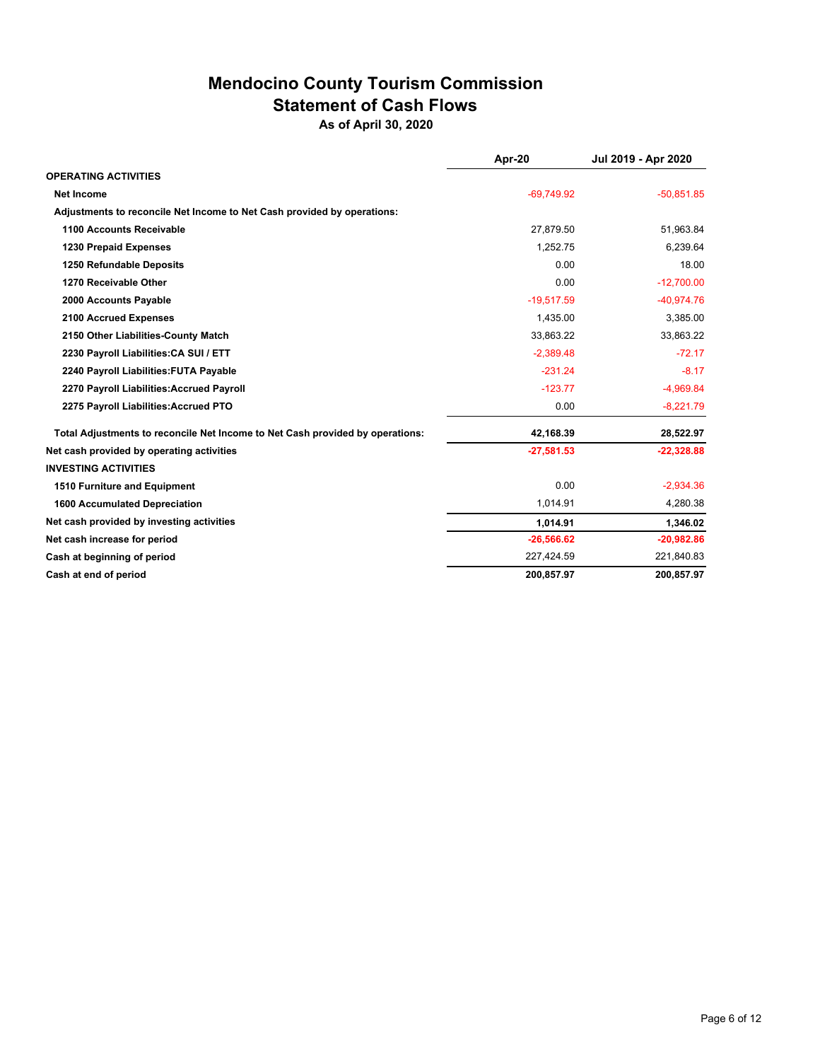### **Mendocino County Tourism Commission Statement of Cash Flows**

**As of April 30, 2020**

|                                                                               | Apr-20       | Jul 2019 - Apr 2020 |
|-------------------------------------------------------------------------------|--------------|---------------------|
| <b>OPERATING ACTIVITIES</b>                                                   |              |                     |
| <b>Net Income</b>                                                             | $-69.749.92$ | $-50,851.85$        |
| Adjustments to reconcile Net Income to Net Cash provided by operations:       |              |                     |
| 1100 Accounts Receivable                                                      | 27,879.50    | 51,963.84           |
| <b>1230 Prepaid Expenses</b>                                                  | 1,252.75     | 6,239.64            |
| 1250 Refundable Deposits                                                      | 0.00         | 18.00               |
| 1270 Receivable Other                                                         | 0.00         | $-12,700.00$        |
| 2000 Accounts Payable                                                         | $-19,517.59$ | $-40.974.76$        |
| 2100 Accrued Expenses                                                         | 1,435.00     | 3,385.00            |
| 2150 Other Liabilities-County Match                                           | 33,863.22    | 33,863.22           |
| 2230 Payroll Liabilities: CA SUI / ETT                                        | $-2,389.48$  | $-72.17$            |
| 2240 Payroll Liabilities: FUTA Payable                                        | $-231.24$    | $-8.17$             |
| 2270 Payroll Liabilities: Accrued Payroll                                     | $-123.77$    | $-4,969.84$         |
| 2275 Payroll Liabilities: Accrued PTO                                         | 0.00         | $-8,221.79$         |
| Total Adjustments to reconcile Net Income to Net Cash provided by operations: | 42,168.39    | 28,522.97           |
| Net cash provided by operating activities                                     | $-27,581.53$ | $-22,328.88$        |
| <b>INVESTING ACTIVITIES</b>                                                   |              |                     |
| 1510 Furniture and Equipment                                                  | 0.00         | $-2,934.36$         |
| <b>1600 Accumulated Depreciation</b>                                          | 1,014.91     | 4,280.38            |
| Net cash provided by investing activities                                     | 1.014.91     | 1.346.02            |
| Net cash increase for period                                                  | $-26,566.62$ | $-20,982.86$        |
| Cash at beginning of period                                                   | 227,424.59   | 221,840.83          |
| Cash at end of period                                                         | 200,857.97   | 200,857.97          |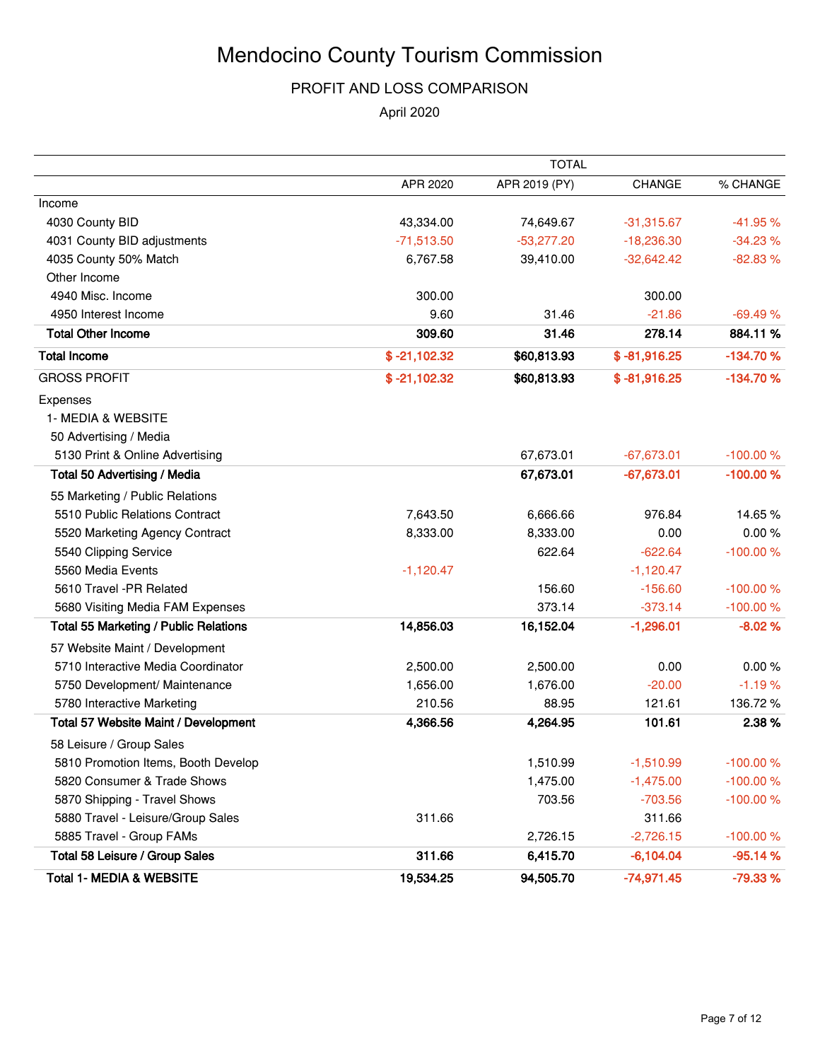#### PROFIT AND LOSS COMPARISON

April 2020

|                                              |                | TOTAL         |                |            |
|----------------------------------------------|----------------|---------------|----------------|------------|
|                                              | APR 2020       | APR 2019 (PY) | <b>CHANGE</b>  | % CHANGE   |
| Income                                       |                |               |                |            |
| 4030 County BID                              | 43,334.00      | 74,649.67     | $-31,315.67$   | $-41.95%$  |
| 4031 County BID adjustments                  | $-71,513.50$   | $-53,277.20$  | $-18,236.30$   | $-34.23%$  |
| 4035 County 50% Match                        | 6,767.58       | 39,410.00     | $-32,642.42$   | $-82.83%$  |
| Other Income                                 |                |               |                |            |
| 4940 Misc. Income                            | 300.00         |               | 300.00         |            |
| 4950 Interest Income                         | 9.60           | 31.46         | $-21.86$       | $-69.49%$  |
| <b>Total Other Income</b>                    | 309.60         | 31.46         | 278.14         | 884.11%    |
| <b>Total Income</b>                          | $$ -21,102.32$ | \$60,813.93   | $$ -81,916.25$ | $-134.70%$ |
| <b>GROSS PROFIT</b>                          | $$ -21,102.32$ | \$60,813.93   | $$ -81,916.25$ | $-134.70%$ |
| Expenses                                     |                |               |                |            |
| 1- MEDIA & WEBSITE                           |                |               |                |            |
| 50 Advertising / Media                       |                |               |                |            |
| 5130 Print & Online Advertising              |                | 67,673.01     | $-67,673.01$   | $-100.00%$ |
| <b>Total 50 Advertising / Media</b>          |                | 67,673.01     | $-67,673.01$   | $-100.00%$ |
| 55 Marketing / Public Relations              |                |               |                |            |
| 5510 Public Relations Contract               | 7,643.50       | 6,666.66      | 976.84         | 14.65 %    |
| 5520 Marketing Agency Contract               | 8,333.00       | 8,333.00      | 0.00           | 0.00%      |
| 5540 Clipping Service                        |                | 622.64        | $-622.64$      | $-100.00%$ |
| 5560 Media Events                            | $-1,120.47$    |               | $-1,120.47$    |            |
| 5610 Travel -PR Related                      |                | 156.60        | $-156.60$      | $-100.00%$ |
| 5680 Visiting Media FAM Expenses             |                | 373.14        | $-373.14$      | $-100.00%$ |
| <b>Total 55 Marketing / Public Relations</b> | 14,856.03      | 16,152.04     | $-1,296.01$    | $-8.02%$   |
| 57 Website Maint / Development               |                |               |                |            |
| 5710 Interactive Media Coordinator           | 2,500.00       | 2,500.00      | 0.00           | 0.00%      |
| 5750 Development/ Maintenance                | 1,656.00       | 1,676.00      | $-20.00$       | $-1.19%$   |
| 5780 Interactive Marketing                   | 210.56         | 88.95         | 121.61         | 136.72%    |
| Total 57 Website Maint / Development         | 4,366.56       | 4,264.95      | 101.61         | 2.38%      |
| 58 Leisure / Group Sales                     |                |               |                |            |
| 5810 Promotion Items, Booth Develop          |                | 1,510.99      | $-1,510.99$    | $-100.00%$ |
| 5820 Consumer & Trade Shows                  |                | 1,475.00      | $-1,475.00$    | $-100.00%$ |
| 5870 Shipping - Travel Shows                 |                | 703.56        | $-703.56$      | $-100.00%$ |
| 5880 Travel - Leisure/Group Sales            | 311.66         |               | 311.66         |            |
| 5885 Travel - Group FAMs                     |                | 2,726.15      | $-2,726.15$    | $-100.00%$ |
| Total 58 Leisure / Group Sales               | 311.66         | 6,415.70      | $-6,104.04$    | $-95.14%$  |
| <b>Total 1- MEDIA &amp; WEBSITE</b>          | 19,534.25      | 94,505.70     | $-74,971.45$   | $-79.33%$  |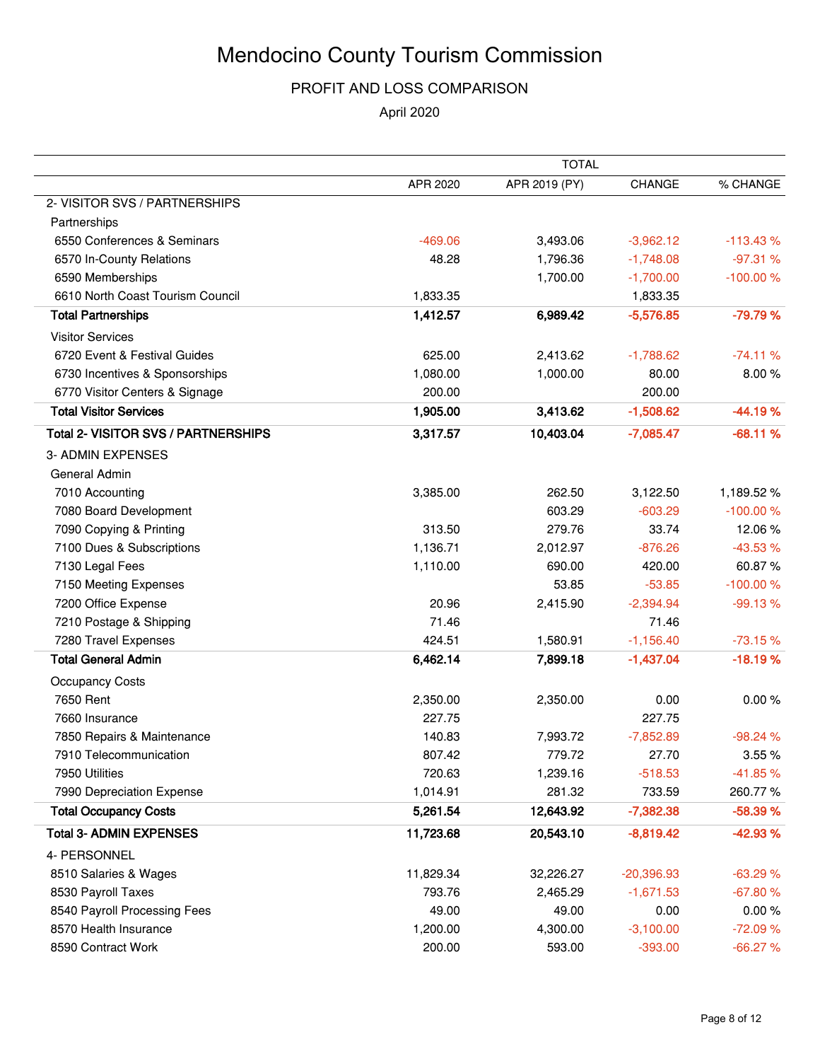#### PROFIT AND LOSS COMPARISON

April 2020

| APR 2020<br>APR 2019 (PY)<br><b>CHANGE</b><br>2- VISITOR SVS / PARTNERSHIPS<br>Partnerships<br>6550 Conferences & Seminars<br>$-469.06$<br>3,493.06<br>$-3,962.12$<br>6570 In-County Relations<br>48.28<br>1,796.36<br>$-1,748.08$<br>6590 Memberships<br>1,700.00<br>$-1,700.00$<br>6610 North Coast Tourism Council<br>1,833.35<br>1,833.35<br><b>Total Partnerships</b><br>1,412.57<br>6,989.42<br>$-5,576.85$<br><b>Visitor Services</b><br>6720 Event & Festival Guides<br>625.00<br>2,413.62<br>$-1,788.62$<br>80.00<br>1,080.00<br>6730 Incentives & Sponsorships<br>1,000.00<br>200.00<br>6770 Visitor Centers & Signage<br>200.00<br><b>Total Visitor Services</b><br>1,905.00<br>$-1,508.62$<br>3,413.62<br><b>Total 2- VISITOR SVS / PARTNERSHIPS</b><br>3,317.57<br>10,403.04<br>$-7,085.47$<br>3- ADMIN EXPENSES<br>General Admin<br>7010 Accounting<br>262.50<br>3,122.50<br>1,189.52%<br>3,385.00<br>7080 Board Development<br>603.29<br>$-603.29$<br>$-100.00%$<br>33.74<br>12.06%<br>7090 Copying & Printing<br>313.50<br>279.76<br>$-43.53%$<br>7100 Dues & Subscriptions<br>1,136.71<br>2,012.97<br>$-876.26$<br>60.87%<br>7130 Legal Fees<br>1,110.00<br>690.00<br>420.00<br>$-53.85$<br>7150 Meeting Expenses<br>53.85<br>7200 Office Expense<br>20.96<br>2,415.90<br>$-2,394.94$<br>71.46<br>71.46<br>7210 Postage & Shipping<br>7280 Travel Expenses<br>424.51<br>1,580.91<br>$-1,156.40$<br><b>Total General Admin</b><br>6,462.14<br>7,899.18<br>$-1,437.04$<br>Occupancy Costs<br>7650 Rent<br>0.00<br>2,350.00<br>2,350.00<br>227.75<br>7660 Insurance<br>227.75<br>7850 Repairs & Maintenance<br>140.83<br>7,993.72<br>$-7,852.89$<br>$-98.24%$<br>7910 Telecommunication<br>807.42<br>779.72<br>27.70<br>720.63<br>$-518.53$<br>7950 Utilities<br>1,239.16<br>7990 Depreciation Expense<br>1,014.91<br>281.32<br>733.59<br><b>Total Occupancy Costs</b><br>5,261.54<br>12,643.92<br>$-7,382.38$<br><b>Total 3- ADMIN EXPENSES</b><br>11,723.68<br>20,543.10<br>$-8,819.42$<br>4- PERSONNEL<br>8510 Salaries & Wages<br>11,829.34<br>32,226.27<br>$-20,396.93$<br>8530 Payroll Taxes<br>793.76<br>$-1,671.53$<br>2,465.29<br>8540 Payroll Processing Fees<br>49.00<br>49.00<br>0.00<br>8570 Health Insurance<br>1,200.00<br>4,300.00<br>$-3,100.00$<br>8590 Contract Work<br>200.00<br>593.00<br>$-393.00$ |  | <b>TOTAL</b> |            |
|----------------------------------------------------------------------------------------------------------------------------------------------------------------------------------------------------------------------------------------------------------------------------------------------------------------------------------------------------------------------------------------------------------------------------------------------------------------------------------------------------------------------------------------------------------------------------------------------------------------------------------------------------------------------------------------------------------------------------------------------------------------------------------------------------------------------------------------------------------------------------------------------------------------------------------------------------------------------------------------------------------------------------------------------------------------------------------------------------------------------------------------------------------------------------------------------------------------------------------------------------------------------------------------------------------------------------------------------------------------------------------------------------------------------------------------------------------------------------------------------------------------------------------------------------------------------------------------------------------------------------------------------------------------------------------------------------------------------------------------------------------------------------------------------------------------------------------------------------------------------------------------------------------------------------------------------------------------------------------------------------------------------------------------------------------------------------------------------------------------------------------------------------------------------------------------------------------------------------------------------------------------------------------------------------------------------------------------|--|--------------|------------|
|                                                                                                                                                                                                                                                                                                                                                                                                                                                                                                                                                                                                                                                                                                                                                                                                                                                                                                                                                                                                                                                                                                                                                                                                                                                                                                                                                                                                                                                                                                                                                                                                                                                                                                                                                                                                                                                                                                                                                                                                                                                                                                                                                                                                                                                                                                                                        |  |              | % CHANGE   |
|                                                                                                                                                                                                                                                                                                                                                                                                                                                                                                                                                                                                                                                                                                                                                                                                                                                                                                                                                                                                                                                                                                                                                                                                                                                                                                                                                                                                                                                                                                                                                                                                                                                                                                                                                                                                                                                                                                                                                                                                                                                                                                                                                                                                                                                                                                                                        |  |              |            |
|                                                                                                                                                                                                                                                                                                                                                                                                                                                                                                                                                                                                                                                                                                                                                                                                                                                                                                                                                                                                                                                                                                                                                                                                                                                                                                                                                                                                                                                                                                                                                                                                                                                                                                                                                                                                                                                                                                                                                                                                                                                                                                                                                                                                                                                                                                                                        |  |              |            |
|                                                                                                                                                                                                                                                                                                                                                                                                                                                                                                                                                                                                                                                                                                                                                                                                                                                                                                                                                                                                                                                                                                                                                                                                                                                                                                                                                                                                                                                                                                                                                                                                                                                                                                                                                                                                                                                                                                                                                                                                                                                                                                                                                                                                                                                                                                                                        |  |              | $-113.43%$ |
|                                                                                                                                                                                                                                                                                                                                                                                                                                                                                                                                                                                                                                                                                                                                                                                                                                                                                                                                                                                                                                                                                                                                                                                                                                                                                                                                                                                                                                                                                                                                                                                                                                                                                                                                                                                                                                                                                                                                                                                                                                                                                                                                                                                                                                                                                                                                        |  |              | $-97.31%$  |
|                                                                                                                                                                                                                                                                                                                                                                                                                                                                                                                                                                                                                                                                                                                                                                                                                                                                                                                                                                                                                                                                                                                                                                                                                                                                                                                                                                                                                                                                                                                                                                                                                                                                                                                                                                                                                                                                                                                                                                                                                                                                                                                                                                                                                                                                                                                                        |  |              | $-100.00%$ |
|                                                                                                                                                                                                                                                                                                                                                                                                                                                                                                                                                                                                                                                                                                                                                                                                                                                                                                                                                                                                                                                                                                                                                                                                                                                                                                                                                                                                                                                                                                                                                                                                                                                                                                                                                                                                                                                                                                                                                                                                                                                                                                                                                                                                                                                                                                                                        |  |              |            |
|                                                                                                                                                                                                                                                                                                                                                                                                                                                                                                                                                                                                                                                                                                                                                                                                                                                                                                                                                                                                                                                                                                                                                                                                                                                                                                                                                                                                                                                                                                                                                                                                                                                                                                                                                                                                                                                                                                                                                                                                                                                                                                                                                                                                                                                                                                                                        |  |              | -79.79 %   |
|                                                                                                                                                                                                                                                                                                                                                                                                                                                                                                                                                                                                                                                                                                                                                                                                                                                                                                                                                                                                                                                                                                                                                                                                                                                                                                                                                                                                                                                                                                                                                                                                                                                                                                                                                                                                                                                                                                                                                                                                                                                                                                                                                                                                                                                                                                                                        |  |              |            |
|                                                                                                                                                                                                                                                                                                                                                                                                                                                                                                                                                                                                                                                                                                                                                                                                                                                                                                                                                                                                                                                                                                                                                                                                                                                                                                                                                                                                                                                                                                                                                                                                                                                                                                                                                                                                                                                                                                                                                                                                                                                                                                                                                                                                                                                                                                                                        |  |              | $-74.11%$  |
|                                                                                                                                                                                                                                                                                                                                                                                                                                                                                                                                                                                                                                                                                                                                                                                                                                                                                                                                                                                                                                                                                                                                                                                                                                                                                                                                                                                                                                                                                                                                                                                                                                                                                                                                                                                                                                                                                                                                                                                                                                                                                                                                                                                                                                                                                                                                        |  |              | 8.00%      |
|                                                                                                                                                                                                                                                                                                                                                                                                                                                                                                                                                                                                                                                                                                                                                                                                                                                                                                                                                                                                                                                                                                                                                                                                                                                                                                                                                                                                                                                                                                                                                                                                                                                                                                                                                                                                                                                                                                                                                                                                                                                                                                                                                                                                                                                                                                                                        |  |              |            |
|                                                                                                                                                                                                                                                                                                                                                                                                                                                                                                                                                                                                                                                                                                                                                                                                                                                                                                                                                                                                                                                                                                                                                                                                                                                                                                                                                                                                                                                                                                                                                                                                                                                                                                                                                                                                                                                                                                                                                                                                                                                                                                                                                                                                                                                                                                                                        |  |              | $-44.19%$  |
|                                                                                                                                                                                                                                                                                                                                                                                                                                                                                                                                                                                                                                                                                                                                                                                                                                                                                                                                                                                                                                                                                                                                                                                                                                                                                                                                                                                                                                                                                                                                                                                                                                                                                                                                                                                                                                                                                                                                                                                                                                                                                                                                                                                                                                                                                                                                        |  |              | $-68.11%$  |
|                                                                                                                                                                                                                                                                                                                                                                                                                                                                                                                                                                                                                                                                                                                                                                                                                                                                                                                                                                                                                                                                                                                                                                                                                                                                                                                                                                                                                                                                                                                                                                                                                                                                                                                                                                                                                                                                                                                                                                                                                                                                                                                                                                                                                                                                                                                                        |  |              |            |
|                                                                                                                                                                                                                                                                                                                                                                                                                                                                                                                                                                                                                                                                                                                                                                                                                                                                                                                                                                                                                                                                                                                                                                                                                                                                                                                                                                                                                                                                                                                                                                                                                                                                                                                                                                                                                                                                                                                                                                                                                                                                                                                                                                                                                                                                                                                                        |  |              |            |
|                                                                                                                                                                                                                                                                                                                                                                                                                                                                                                                                                                                                                                                                                                                                                                                                                                                                                                                                                                                                                                                                                                                                                                                                                                                                                                                                                                                                                                                                                                                                                                                                                                                                                                                                                                                                                                                                                                                                                                                                                                                                                                                                                                                                                                                                                                                                        |  |              |            |
|                                                                                                                                                                                                                                                                                                                                                                                                                                                                                                                                                                                                                                                                                                                                                                                                                                                                                                                                                                                                                                                                                                                                                                                                                                                                                                                                                                                                                                                                                                                                                                                                                                                                                                                                                                                                                                                                                                                                                                                                                                                                                                                                                                                                                                                                                                                                        |  |              |            |
|                                                                                                                                                                                                                                                                                                                                                                                                                                                                                                                                                                                                                                                                                                                                                                                                                                                                                                                                                                                                                                                                                                                                                                                                                                                                                                                                                                                                                                                                                                                                                                                                                                                                                                                                                                                                                                                                                                                                                                                                                                                                                                                                                                                                                                                                                                                                        |  |              |            |
|                                                                                                                                                                                                                                                                                                                                                                                                                                                                                                                                                                                                                                                                                                                                                                                                                                                                                                                                                                                                                                                                                                                                                                                                                                                                                                                                                                                                                                                                                                                                                                                                                                                                                                                                                                                                                                                                                                                                                                                                                                                                                                                                                                                                                                                                                                                                        |  |              |            |
|                                                                                                                                                                                                                                                                                                                                                                                                                                                                                                                                                                                                                                                                                                                                                                                                                                                                                                                                                                                                                                                                                                                                                                                                                                                                                                                                                                                                                                                                                                                                                                                                                                                                                                                                                                                                                                                                                                                                                                                                                                                                                                                                                                                                                                                                                                                                        |  |              |            |
|                                                                                                                                                                                                                                                                                                                                                                                                                                                                                                                                                                                                                                                                                                                                                                                                                                                                                                                                                                                                                                                                                                                                                                                                                                                                                                                                                                                                                                                                                                                                                                                                                                                                                                                                                                                                                                                                                                                                                                                                                                                                                                                                                                                                                                                                                                                                        |  |              | $-100.00%$ |
|                                                                                                                                                                                                                                                                                                                                                                                                                                                                                                                                                                                                                                                                                                                                                                                                                                                                                                                                                                                                                                                                                                                                                                                                                                                                                                                                                                                                                                                                                                                                                                                                                                                                                                                                                                                                                                                                                                                                                                                                                                                                                                                                                                                                                                                                                                                                        |  |              | $-99.13%$  |
|                                                                                                                                                                                                                                                                                                                                                                                                                                                                                                                                                                                                                                                                                                                                                                                                                                                                                                                                                                                                                                                                                                                                                                                                                                                                                                                                                                                                                                                                                                                                                                                                                                                                                                                                                                                                                                                                                                                                                                                                                                                                                                                                                                                                                                                                                                                                        |  |              |            |
|                                                                                                                                                                                                                                                                                                                                                                                                                                                                                                                                                                                                                                                                                                                                                                                                                                                                                                                                                                                                                                                                                                                                                                                                                                                                                                                                                                                                                                                                                                                                                                                                                                                                                                                                                                                                                                                                                                                                                                                                                                                                                                                                                                                                                                                                                                                                        |  |              | $-73.15%$  |
|                                                                                                                                                                                                                                                                                                                                                                                                                                                                                                                                                                                                                                                                                                                                                                                                                                                                                                                                                                                                                                                                                                                                                                                                                                                                                                                                                                                                                                                                                                                                                                                                                                                                                                                                                                                                                                                                                                                                                                                                                                                                                                                                                                                                                                                                                                                                        |  |              | $-18.19%$  |
|                                                                                                                                                                                                                                                                                                                                                                                                                                                                                                                                                                                                                                                                                                                                                                                                                                                                                                                                                                                                                                                                                                                                                                                                                                                                                                                                                                                                                                                                                                                                                                                                                                                                                                                                                                                                                                                                                                                                                                                                                                                                                                                                                                                                                                                                                                                                        |  |              |            |
|                                                                                                                                                                                                                                                                                                                                                                                                                                                                                                                                                                                                                                                                                                                                                                                                                                                                                                                                                                                                                                                                                                                                                                                                                                                                                                                                                                                                                                                                                                                                                                                                                                                                                                                                                                                                                                                                                                                                                                                                                                                                                                                                                                                                                                                                                                                                        |  |              | 0.00%      |
|                                                                                                                                                                                                                                                                                                                                                                                                                                                                                                                                                                                                                                                                                                                                                                                                                                                                                                                                                                                                                                                                                                                                                                                                                                                                                                                                                                                                                                                                                                                                                                                                                                                                                                                                                                                                                                                                                                                                                                                                                                                                                                                                                                                                                                                                                                                                        |  |              |            |
|                                                                                                                                                                                                                                                                                                                                                                                                                                                                                                                                                                                                                                                                                                                                                                                                                                                                                                                                                                                                                                                                                                                                                                                                                                                                                                                                                                                                                                                                                                                                                                                                                                                                                                                                                                                                                                                                                                                                                                                                                                                                                                                                                                                                                                                                                                                                        |  |              |            |
|                                                                                                                                                                                                                                                                                                                                                                                                                                                                                                                                                                                                                                                                                                                                                                                                                                                                                                                                                                                                                                                                                                                                                                                                                                                                                                                                                                                                                                                                                                                                                                                                                                                                                                                                                                                                                                                                                                                                                                                                                                                                                                                                                                                                                                                                                                                                        |  |              | 3.55%      |
|                                                                                                                                                                                                                                                                                                                                                                                                                                                                                                                                                                                                                                                                                                                                                                                                                                                                                                                                                                                                                                                                                                                                                                                                                                                                                                                                                                                                                                                                                                                                                                                                                                                                                                                                                                                                                                                                                                                                                                                                                                                                                                                                                                                                                                                                                                                                        |  |              | $-41.85%$  |
|                                                                                                                                                                                                                                                                                                                                                                                                                                                                                                                                                                                                                                                                                                                                                                                                                                                                                                                                                                                                                                                                                                                                                                                                                                                                                                                                                                                                                                                                                                                                                                                                                                                                                                                                                                                                                                                                                                                                                                                                                                                                                                                                                                                                                                                                                                                                        |  |              | 260.77%    |
|                                                                                                                                                                                                                                                                                                                                                                                                                                                                                                                                                                                                                                                                                                                                                                                                                                                                                                                                                                                                                                                                                                                                                                                                                                                                                                                                                                                                                                                                                                                                                                                                                                                                                                                                                                                                                                                                                                                                                                                                                                                                                                                                                                                                                                                                                                                                        |  |              | $-58.39%$  |
|                                                                                                                                                                                                                                                                                                                                                                                                                                                                                                                                                                                                                                                                                                                                                                                                                                                                                                                                                                                                                                                                                                                                                                                                                                                                                                                                                                                                                                                                                                                                                                                                                                                                                                                                                                                                                                                                                                                                                                                                                                                                                                                                                                                                                                                                                                                                        |  |              | $-42.93%$  |
|                                                                                                                                                                                                                                                                                                                                                                                                                                                                                                                                                                                                                                                                                                                                                                                                                                                                                                                                                                                                                                                                                                                                                                                                                                                                                                                                                                                                                                                                                                                                                                                                                                                                                                                                                                                                                                                                                                                                                                                                                                                                                                                                                                                                                                                                                                                                        |  |              |            |
|                                                                                                                                                                                                                                                                                                                                                                                                                                                                                                                                                                                                                                                                                                                                                                                                                                                                                                                                                                                                                                                                                                                                                                                                                                                                                                                                                                                                                                                                                                                                                                                                                                                                                                                                                                                                                                                                                                                                                                                                                                                                                                                                                                                                                                                                                                                                        |  |              | $-63.29%$  |
|                                                                                                                                                                                                                                                                                                                                                                                                                                                                                                                                                                                                                                                                                                                                                                                                                                                                                                                                                                                                                                                                                                                                                                                                                                                                                                                                                                                                                                                                                                                                                                                                                                                                                                                                                                                                                                                                                                                                                                                                                                                                                                                                                                                                                                                                                                                                        |  |              | $-67.80%$  |
|                                                                                                                                                                                                                                                                                                                                                                                                                                                                                                                                                                                                                                                                                                                                                                                                                                                                                                                                                                                                                                                                                                                                                                                                                                                                                                                                                                                                                                                                                                                                                                                                                                                                                                                                                                                                                                                                                                                                                                                                                                                                                                                                                                                                                                                                                                                                        |  |              | 0.00%      |
|                                                                                                                                                                                                                                                                                                                                                                                                                                                                                                                                                                                                                                                                                                                                                                                                                                                                                                                                                                                                                                                                                                                                                                                                                                                                                                                                                                                                                                                                                                                                                                                                                                                                                                                                                                                                                                                                                                                                                                                                                                                                                                                                                                                                                                                                                                                                        |  |              | $-72.09%$  |
|                                                                                                                                                                                                                                                                                                                                                                                                                                                                                                                                                                                                                                                                                                                                                                                                                                                                                                                                                                                                                                                                                                                                                                                                                                                                                                                                                                                                                                                                                                                                                                                                                                                                                                                                                                                                                                                                                                                                                                                                                                                                                                                                                                                                                                                                                                                                        |  |              | $-66.27%$  |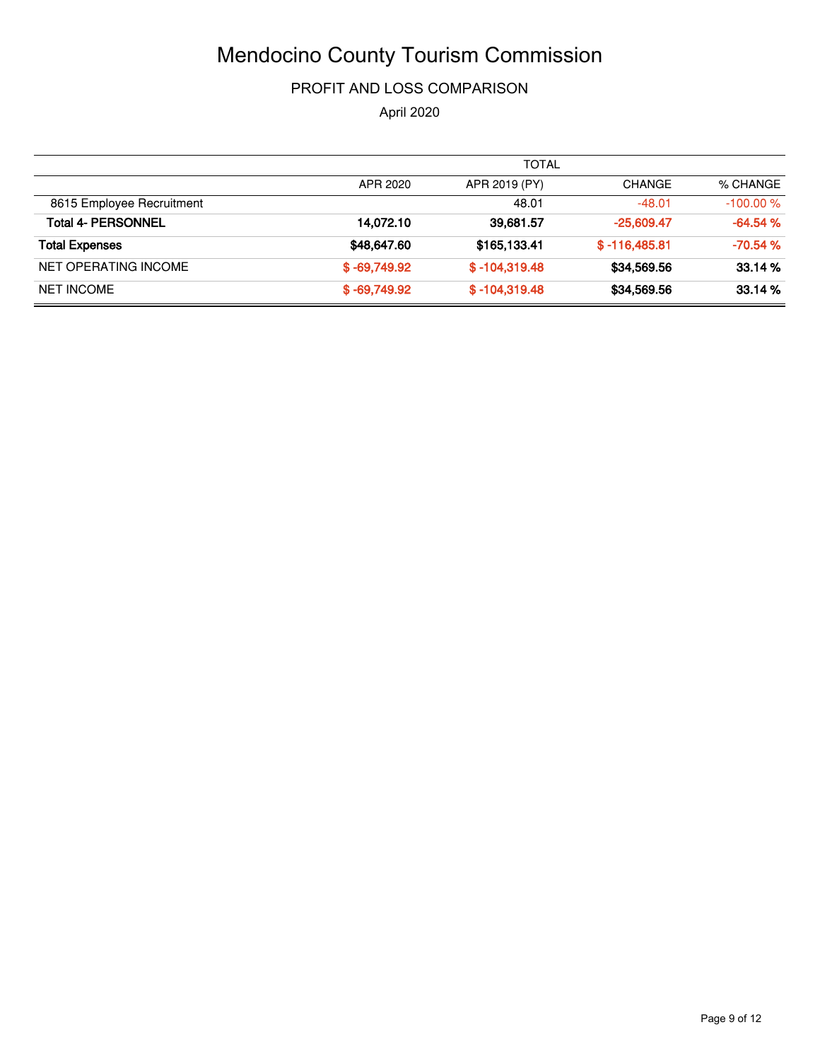#### PROFIT AND LOSS COMPARISON

April 2020

|                           |                | <b>TOTAL</b>    |                 |            |
|---------------------------|----------------|-----------------|-----------------|------------|
|                           | APR 2020       | APR 2019 (PY)   | <b>CHANGE</b>   | % CHANGE   |
| 8615 Employee Recruitment |                | 48.01           | $-48.01$        | $-100.00%$ |
| Total 4- PERSONNEL        | 14.072.10      | 39,681.57       | $-25,609.47$    | $-64.54%$  |
| <b>Total Expenses</b>     | \$48,647.60    | \$165,133.41    | $$ -116,485.81$ | $-70.54%$  |
| NET OPERATING INCOME      | $$ -69,749.92$ | $$ -104.319.48$ | \$34,569.56     | 33.14%     |
| <b>NET INCOME</b>         | $$ -69,749.92$ | $$ -104,319.48$ | \$34,569.56     | 33.14%     |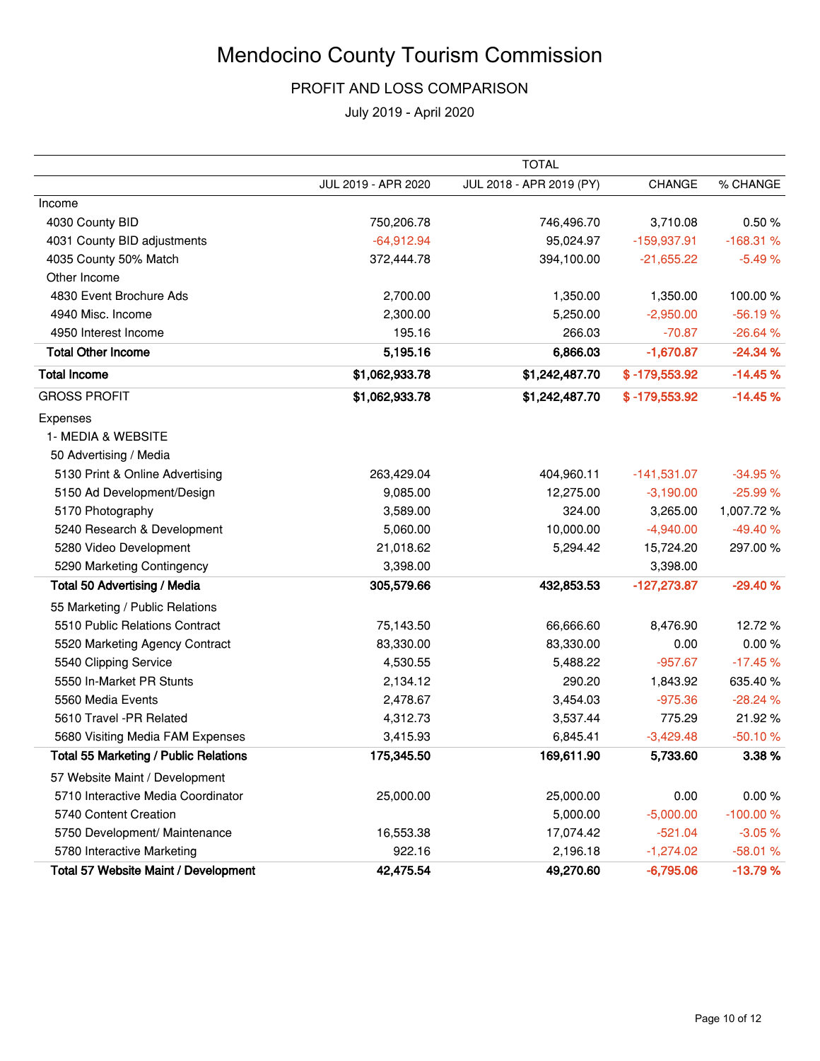#### PROFIT AND LOSS COMPARISON

|                                              |                     | <b>TOTAL</b>             |                 |            |
|----------------------------------------------|---------------------|--------------------------|-----------------|------------|
|                                              | JUL 2019 - APR 2020 | JUL 2018 - APR 2019 (PY) | CHANGE          | % CHANGE   |
| Income                                       |                     |                          |                 |            |
| 4030 County BID                              | 750,206.78          | 746,496.70               | 3,710.08        | 0.50%      |
| 4031 County BID adjustments                  | $-64,912.94$        | 95,024.97                | $-159,937.91$   | $-168.31%$ |
| 4035 County 50% Match                        | 372,444.78          | 394,100.00               | $-21,655.22$    | $-5.49%$   |
| Other Income                                 |                     |                          |                 |            |
| 4830 Event Brochure Ads                      | 2,700.00            | 1,350.00                 | 1,350.00        | 100.00%    |
| 4940 Misc. Income                            | 2,300.00            | 5,250.00                 | $-2,950.00$     | $-56.19%$  |
| 4950 Interest Income                         | 195.16              | 266.03                   | $-70.87$        | $-26.64%$  |
| <b>Total Other Income</b>                    | 5,195.16            | 6,866.03                 | $-1,670.87$     | $-24.34%$  |
| <b>Total Income</b>                          | \$1,062,933.78      | \$1,242,487.70           | $$ -179,553.92$ | $-14.45%$  |
| <b>GROSS PROFIT</b>                          | \$1,062,933.78      | \$1,242,487.70           | $$ -179,553.92$ | $-14.45%$  |
| Expenses                                     |                     |                          |                 |            |
| 1- MEDIA & WEBSITE                           |                     |                          |                 |            |
| 50 Advertising / Media                       |                     |                          |                 |            |
| 5130 Print & Online Advertising              | 263,429.04          | 404,960.11               | $-141,531.07$   | $-34.95%$  |
| 5150 Ad Development/Design                   | 9,085.00            | 12,275.00                | $-3,190.00$     | $-25.99%$  |
| 5170 Photography                             | 3,589.00            | 324.00                   | 3,265.00        | 1,007.72%  |
| 5240 Research & Development                  | 5,060.00            | 10,000.00                | $-4,940.00$     | $-49.40%$  |
| 5280 Video Development                       | 21,018.62           | 5,294.42                 | 15,724.20       | 297.00%    |
| 5290 Marketing Contingency                   | 3,398.00            |                          | 3,398.00        |            |
| <b>Total 50 Advertising / Media</b>          | 305,579.66          | 432,853.53               | $-127,273.87$   | $-29.40%$  |
| 55 Marketing / Public Relations              |                     |                          |                 |            |
| 5510 Public Relations Contract               | 75,143.50           | 66,666.60                | 8,476.90        | 12.72%     |
| 5520 Marketing Agency Contract               | 83,330.00           | 83,330.00                | 0.00            | 0.00%      |
| 5540 Clipping Service                        | 4,530.55            | 5,488.22                 | $-957.67$       | $-17.45%$  |
| 5550 In-Market PR Stunts                     | 2,134.12            | 290.20                   | 1,843.92        | 635.40%    |
| 5560 Media Events                            | 2,478.67            | 3,454.03                 | $-975.36$       | $-28.24%$  |
| 5610 Travel -PR Related                      | 4,312.73            | 3,537.44                 | 775.29          | 21.92%     |
| 5680 Visiting Media FAM Expenses             | 3,415.93            | 6,845.41                 | $-3,429.48$     | $-50.10%$  |
| <b>Total 55 Marketing / Public Relations</b> | 175,345.50          | 169,611.90               | 5,733.60        | 3.38%      |
| 57 Website Maint / Development               |                     |                          |                 |            |
| 5710 Interactive Media Coordinator           | 25,000.00           | 25,000.00                | 0.00            | 0.00%      |
| 5740 Content Creation                        |                     | 5,000.00                 | $-5,000.00$     | $-100.00%$ |
| 5750 Development/ Maintenance                | 16,553.38           | 17,074.42                | $-521.04$       | $-3.05%$   |
| 5780 Interactive Marketing                   | 922.16              | 2,196.18                 | $-1,274.02$     | $-58.01%$  |
| Total 57 Website Maint / Development         | 42,475.54           | 49,270.60                | $-6,795.06$     | $-13.79%$  |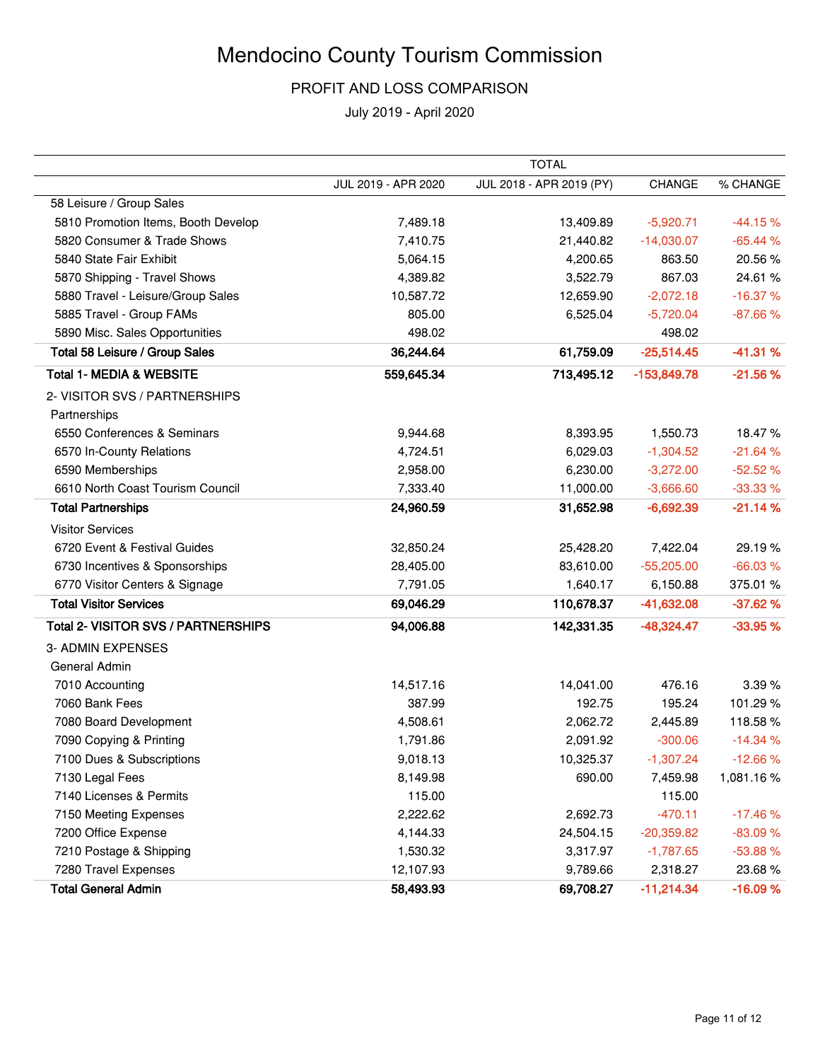#### PROFIT AND LOSS COMPARISON

|                                     |                     | <b>TOTAL</b>             |               |           |
|-------------------------------------|---------------------|--------------------------|---------------|-----------|
|                                     | JUL 2019 - APR 2020 | JUL 2018 - APR 2019 (PY) | <b>CHANGE</b> | % CHANGE  |
| 58 Leisure / Group Sales            |                     |                          |               |           |
| 5810 Promotion Items, Booth Develop | 7,489.18            | 13,409.89                | $-5,920.71$   | $-44.15%$ |
| 5820 Consumer & Trade Shows         | 7,410.75            | 21,440.82                | $-14,030.07$  | $-65.44%$ |
| 5840 State Fair Exhibit             | 5,064.15            | 4,200.65                 | 863.50        | 20.56%    |
| 5870 Shipping - Travel Shows        | 4,389.82            | 3,522.79                 | 867.03        | 24.61%    |
| 5880 Travel - Leisure/Group Sales   | 10,587.72           | 12,659.90                | $-2,072.18$   | $-16.37%$ |
| 5885 Travel - Group FAMs            | 805.00              | 6,525.04                 | $-5,720.04$   | $-87.66%$ |
| 5890 Misc. Sales Opportunities      | 498.02              |                          | 498.02        |           |
| Total 58 Leisure / Group Sales      | 36,244.64           | 61,759.09                | $-25,514.45$  | $-41.31%$ |
| <b>Total 1- MEDIA &amp; WEBSITE</b> | 559,645.34          | 713,495.12               | $-153,849.78$ | $-21.56%$ |
| 2- VISITOR SVS / PARTNERSHIPS       |                     |                          |               |           |
| Partnerships                        |                     |                          |               |           |
| 6550 Conferences & Seminars         | 9,944.68            | 8,393.95                 | 1,550.73      | 18.47%    |
| 6570 In-County Relations            | 4,724.51            | 6,029.03                 | $-1,304.52$   | $-21.64%$ |
| 6590 Memberships                    | 2,958.00            | 6,230.00                 | $-3,272.00$   | $-52.52%$ |
| 6610 North Coast Tourism Council    | 7,333.40            | 11,000.00                | $-3,666.60$   | $-33.33%$ |
| <b>Total Partnerships</b>           | 24,960.59           | 31,652.98                | $-6,692.39$   | $-21.14%$ |
| <b>Visitor Services</b>             |                     |                          |               |           |
| 6720 Event & Festival Guides        | 32,850.24           | 25,428.20                | 7,422.04      | 29.19%    |
| 6730 Incentives & Sponsorships      | 28,405.00           | 83,610.00                | $-55,205.00$  | $-66.03%$ |
| 6770 Visitor Centers & Signage      | 7,791.05            | 1,640.17                 | 6,150.88      | 375.01 %  |
| <b>Total Visitor Services</b>       | 69,046.29           | 110,678.37               | $-41,632.08$  | $-37.62%$ |
| Total 2- VISITOR SVS / PARTNERSHIPS | 94,006.88           | 142,331.35               | $-48,324.47$  | $-33.95%$ |
| 3- ADMIN EXPENSES                   |                     |                          |               |           |
| General Admin                       |                     |                          |               |           |
| 7010 Accounting                     | 14,517.16           | 14,041.00                | 476.16        | 3.39%     |
| 7060 Bank Fees                      | 387.99              | 192.75                   | 195.24        | 101.29%   |
| 7080 Board Development              | 4,508.61            | 2,062.72                 | 2,445.89      | 118.58%   |
| 7090 Copying & Printing             | 1,791.86            | 2,091.92                 | $-300.06$     | $-14.34%$ |
| 7100 Dues & Subscriptions           | 9,018.13            | 10,325.37                | $-1,307.24$   | $-12.66%$ |
| 7130 Legal Fees                     | 8,149.98            | 690.00                   | 7,459.98      | 1,081.16% |
| 7140 Licenses & Permits             | 115.00              |                          | 115.00        |           |
| 7150 Meeting Expenses               | 2,222.62            | 2,692.73                 | $-470.11$     | $-17.46%$ |
| 7200 Office Expense                 | 4,144.33            | 24,504.15                | $-20,359.82$  | $-83.09%$ |
| 7210 Postage & Shipping             | 1,530.32            | 3,317.97                 | $-1,787.65$   | $-53.88%$ |
| 7280 Travel Expenses                | 12,107.93           | 9,789.66                 | 2,318.27      | 23.68%    |
| <b>Total General Admin</b>          | 58,493.93           | 69,708.27                | $-11,214.34$  | $-16.09%$ |